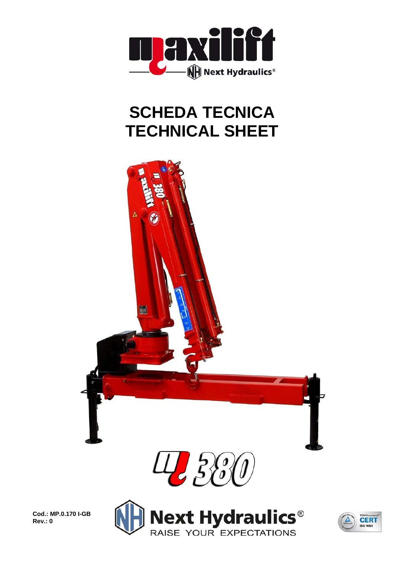

## **SCHEDA TECNICA TECHNICAL SHEET**



**Cod.: MP.0.170 I-GB Rev.: 0** 



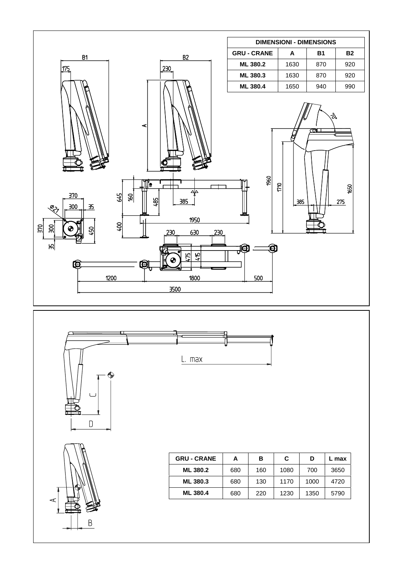





| <b>GRU - CRANE</b> | А   | в   | C    | D    | max  |  |
|--------------------|-----|-----|------|------|------|--|
| <b>ML 380.2</b>    | 680 | 160 | 1080 | 700  | 3650 |  |
| <b>ML 380.3</b>    | 680 | 130 | 1170 | 1000 | 4720 |  |
| <b>ML 380.4</b>    | 680 | 220 | 1230 | 1350 | 5790 |  |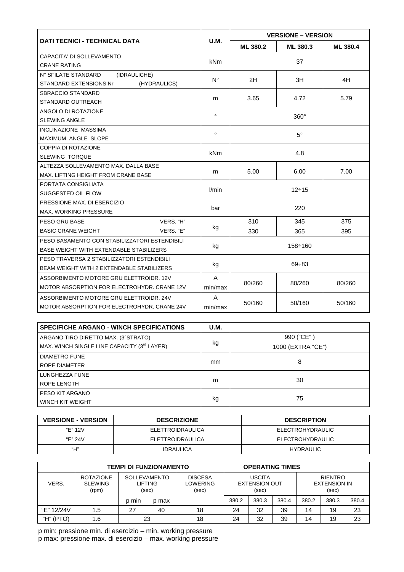| <b>DATI TECNICI - TECHNICAL DATA</b>          |              | <b>VERSIONE - VERSION</b> |                  |          |  |  |
|-----------------------------------------------|--------------|---------------------------|------------------|----------|--|--|
|                                               | <b>U.M.</b>  | ML 380.2                  | ML 380.3         | ML 380.4 |  |  |
| CAPACITA' DI SOLLEVAMENTO                     |              | 37                        |                  |          |  |  |
| <b>CRANE RATING</b>                           | <b>kNm</b>   |                           |                  |          |  |  |
| N° SFILATE STANDARD<br>(IDRAULICHE)           |              |                           |                  |          |  |  |
| <b>STANDARD EXTENSIONS Nr</b><br>(HYDRAULICS) | $N^{\circ}$  | 2H                        | 3H               | 4H       |  |  |
| <b>SBRACCIO STANDARD</b>                      |              |                           | 4.72             |          |  |  |
| STANDARD OUTREACH                             | m            | 3.65                      |                  | 5.79     |  |  |
| ANGOLO DI ROTAZIONE                           | $\mathbf{o}$ | $360^\circ$               |                  |          |  |  |
| <b>SLEWING ANGLE</b>                          |              |                           |                  |          |  |  |
| <b>INCLINAZIONE MASSIMA</b>                   | $\mathbf{o}$ | $5^{\circ}$               |                  |          |  |  |
| MAXIMUM ANGLE SLOPE                           |              |                           |                  |          |  |  |
| COPPIA DI ROTAZIONE                           | <b>kNm</b>   | 4.8                       |                  |          |  |  |
| <b>SLEWING TORQUE</b>                         |              |                           |                  |          |  |  |
| ALTEZZA SOLLEVAMENTO MAX. DALLA BASE          | m            | 5.00                      | 6.00             | 7.00     |  |  |
| MAX. LIFTING HEIGHT FROM CRANE BASE           |              |                           |                  |          |  |  |
| PORTATA CONSIGLIATA                           | l/min        | $12 \div 15$              |                  |          |  |  |
| SUGGESTED OIL FLOW                            |              |                           |                  |          |  |  |
| PRESSIONE MAX, DI ESERCIZIO                   | bar          | 220                       |                  |          |  |  |
| <b>MAX. WORKING PRESSURE</b>                  |              |                           |                  |          |  |  |
| VERS. "H"<br>PESO GRU BASE                    |              | 310                       | 345              | 375      |  |  |
| <b>BASIC CRANE WEIGHT</b><br>VERS. "E"        | kg           | 330                       | 365              | 395      |  |  |
| PESO BASAMENTO CON STABILIZZATORI ESTENDIBILI |              | $158 \div 160$            |                  |          |  |  |
| BASE WEIGHT WITH EXTENDABLE STABILIZERS       | kg           |                           |                  |          |  |  |
| PESO TRAVERSA 2 STABILIZZATORI ESTENDIBILI    |              | $69 \div 83$              |                  |          |  |  |
| BEAM WEIGHT WITH 2 EXTENDABLE STABILIZERS     | kg           |                           |                  |          |  |  |
| ASSORBIMENTO MOTORE GRU ELETTROIDR, 12V       | A            |                           |                  |          |  |  |
| MOTOR ABSORPTION FOR ELECTROHYDR. CRANE 12V   | min/max      | 80/260                    | 80/260<br>80/260 |          |  |  |
| ASSORBIMENTO MOTORE GRU ELETTROIDR, 24V       | A            |                           | 50/160           |          |  |  |
| MOTOR ABSORPTION FOR ELECTROHYDR. CRANE 24V   | min/max      | 50/160                    | 50/160           |          |  |  |

| <b>SPECIFICHE ARGANO - WINCH SPECIFICATIONS</b> | <b>U.M.</b> |                   |  |  |  |  |
|-------------------------------------------------|-------------|-------------------|--|--|--|--|
| ARGANO TIRO DIRETTO MAX. (3°STRATO)             |             | 990 ("CE")        |  |  |  |  |
| MAX. WINCH SINGLE LINE CAPACITY (3rd LAYER)     | kg          | 1000 (EXTRA "CE") |  |  |  |  |
| <b>DIAMETRO FUNE</b>                            |             |                   |  |  |  |  |
| ROPE DIAMETER                                   | mm          | 8                 |  |  |  |  |
| LUNGHEZZA FUNE                                  |             |                   |  |  |  |  |
| ROPE LENGTH                                     | m           | 30                |  |  |  |  |
| PESO KIT ARGANO                                 |             |                   |  |  |  |  |
| WINCH KIT WEIGHT                                | kg          | 75                |  |  |  |  |

| <b>VERSIONE - VERSION</b> | <b>DESCRIZIONE</b> | <b>DESCRIPTION</b> |
|---------------------------|--------------------|--------------------|
| "F" 12V                   | ELETTROIDRAULICA   | ELECTROHYDRAULIC   |
| "F" 24V                   | ELETTROIDRAULICA   | ELECTROHYDRAULIC   |
| "Н"                       | <b>IDRAULICA</b>   | <b>HYDRAULIC</b>   |

| <b>TEMPI DI FUNZIONAMENTO</b> |                                             |                                         |       | <b>OPERATING TIMES</b>                     |                                                |       |       |                                                |       |       |
|-------------------------------|---------------------------------------------|-----------------------------------------|-------|--------------------------------------------|------------------------------------------------|-------|-------|------------------------------------------------|-------|-------|
| VERS.                         | <b>ROTAZIONE</b><br><b>SLEWING</b><br>(rpm) | <b>SOLLEVAMENTO</b><br>LIFTING<br>(sec) |       | <b>DISCESA</b><br><b>LOWERING</b><br>(sec) | <b>USCITA</b><br><b>EXTENSION OUT</b><br>(sec) |       |       | <b>RIENTRO</b><br><b>EXTENSION IN</b><br>(sec) |       |       |
|                               |                                             | p min                                   | p max |                                            | 380.2                                          | 380.3 | 380.4 | 380.2                                          | 380.3 | 380.4 |
| "E" 12/24V                    | 1.5                                         | 27                                      | 40    | 18                                         | 24                                             | 32    | 39    | 14                                             | 19    | 23    |
| "H" (PTO)                     | . 6. ا                                      | 23                                      |       | 18                                         | 24                                             | 32    | 39    | 14                                             | 19    | 23    |

p min: pressione min. di esercizio - min. working pressure<br>p max: pressione max. di esercizio - max. working pressure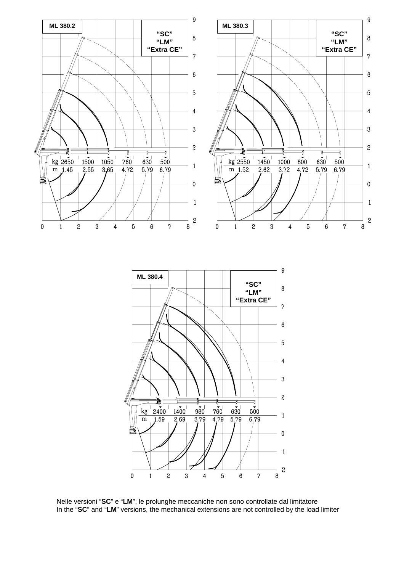

Nelle versioni "**SC**" e "**LM**", le prolunghe meccaniche non sono controllate dal limitatore In the "**SC**" and "**LM**" versions, the mechanical extensions are not controlled by the load limiter

 $\overline{4}$ 

 $\,$  5  $\,$ 

 $\boldsymbol{3}$ 

 $\bar{z}$ 

 $\pmb{0}$ 

 $\mathbf{1}$ 

 $\mathbf{1}$ 

 $\overline{\mathcal{L}}$ 

 $\overline{\bf 8}$ 

 $\boldsymbol{7}$ 

 $\boldsymbol{6}$